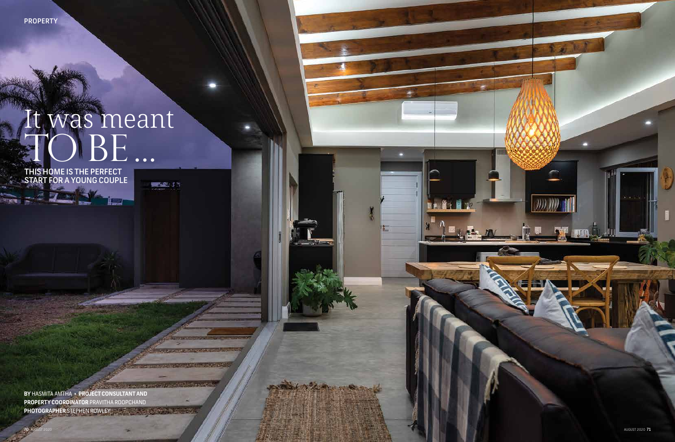**PROPERTY** 

ा अनुसार



## **BE** It was meant

 $\frac{\partial \mathbf{S}}{\partial \mathbf{S}} = \frac{\partial \mathbf{S}}{\partial \mathbf{S}}$ 

 $-3 + 3 - 6 + 5$ 

- 7

THIS HOME IS THE PERFECT START FOR A YOUNG COUPLE

**BY** HASMITA AMTHA • **PROJECT CONSULTANT AND PROPERTY COORDINATOR** PRAVITHA ROOPCHAND **PHOTOGRAPHER** STEPHEN ROWLEY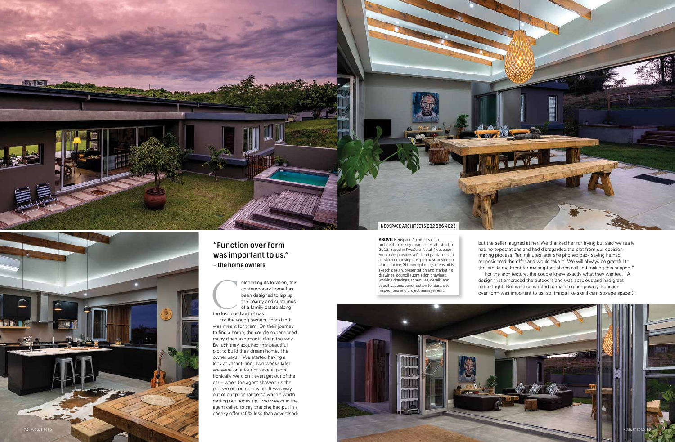

For the young owners, this stand was meant for them. On their journey to find a home, the couple experienced many disappointments along the way. By luck they acquired this beautiful plot to build their dream home. The owner says: "We started having a look at vacant land. Two weeks later we were on a tour of several plots. Ironically we didn't even get out of the car – when the agent showed us the plot we ended up buying. It was way out of our price range so wasn't worth getting our hopes up. Two weeks in the agent called to say that she had put in a elebrating its location, this<br>contemporary home has<br>been designed to lap up<br>the beauty and surrounds<br>of a family estate along<br>the luscious North Coast.<br>For the young owners, this stand<br>was meant for them. On their journey<br>

elebrating its location, this contemporary home has been designed to lap up the beauty and surrounds of a family estate along the luscious North Coast.

but the seller laughed at her. We thanked her for trying but said we really had no expectations and had disregarded the plot from our decisionmaking process. Ten minutes later she phoned back saying he had reconsidered the offer and would take it! We will always be grateful to the late Jaime Ernst for making that phone call and making this happen." For the architecture, the couple knew exactly what they wanted. "A design that embraced the outdoors and was spacious and had great natural light. But we also wanted to maintain our privacy. Function over form was important to us: so, things like significant storage space  $\geq$ 

**ABOVE:** Neospace Architects is an architecture design practice established in 2012. Based in KwaZulu-Natal, Neospace Architects provides a full and partial design service comprising pre-purchase advice on stand choice, 3D concept design, feasibility, sketch design, presentation and marketing drawings, council submission drawings, working drawings, schedules, details and specifications, construction tenders, site inspections and project management.



## "Function over form was important to us." – the home owners